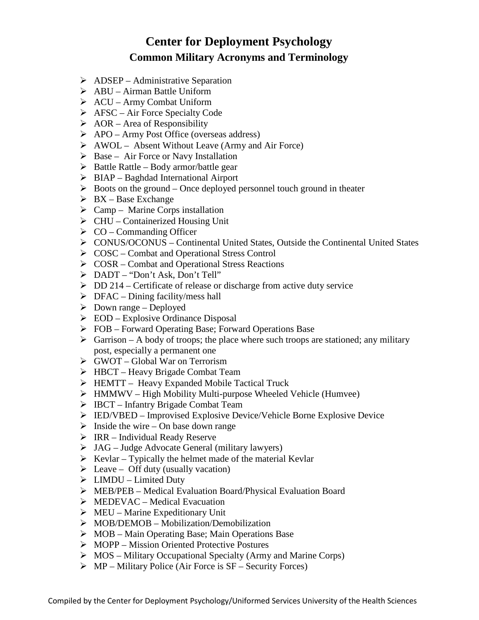## **Center for Deployment Psychology Common Military Acronyms and Terminology**

- $\triangleright$  ADSEP Administrative Separation
- $\triangleright$  ABU Airman Battle Uniform
- $\triangleright$  ACU Army Combat Uniform
- $\triangleright$  AFSC Air Force Specialty Code
- $\triangleright$  AOR Area of Responsibility
- APO Army Post Office (overseas address)
- $\triangleright$  AWOL Absent Without Leave (Army and Air Force)
- $\triangleright$  Base Air Force or Navy Installation
- $\triangleright$  Battle Rattle Body armor/battle gear
- $\triangleright$  BIAP Baghdad International Airport
- $\triangleright$  Boots on the ground Once deployed personnel touch ground in theater
- $\triangleright$  BX Base Exchange
- $\triangleright$  Camp Marine Corps installation
- $\triangleright$  CHU Containerized Housing Unit
- $\triangleright$  CO Commanding Officer
- CONUS/OCONUS Continental United States, Outside the Continental United States
- $\triangleright$  COSC Combat and Operational Stress Control
- $\triangleright$  COSR Combat and Operational Stress Reactions
- DADT "Don't Ask, Don't Tell"
- $\triangleright$  DD 214 Certificate of release or discharge from active duty service
- $\triangleright$  DFAC Dining facility/mess hall
- $\triangleright$  Down range Deployed
- $\triangleright$  EOD Explosive Ordinance Disposal
- FOB Forward Operating Base; Forward Operations Base
- $\triangleright$  Garrison A body of troops; the place where such troops are stationed; any military post, especially a permanent one
- GWOT Global War on Terrorism
- $\triangleright$  HBCT Heavy Brigade Combat Team
- HEMTT Heavy Expanded Mobile Tactical Truck
- $\triangleright$  HMMWV High Mobility Multi-purpose Wheeled Vehicle (Humvee)
- $\triangleright$  IBCT Infantry Brigade Combat Team
- IED/VBED Improvised Explosive Device/Vehicle Borne Explosive Device
- $\triangleright$  Inside the wire On base down range
- $\triangleright$  IRR Individual Ready Reserve
- $\triangleright$  JAG Judge Advocate General (military lawyers)
- $\triangleright$  Kevlar Typically the helmet made of the material Kevlar
- $\triangleright$  Leave Off duty (usually vacation)
- $\triangleright$  LIMDU Limited Duty
- MEB/PEB Medical Evaluation Board/Physical Evaluation Board
- $\triangleright$  MEDEVAC Medical Evacuation
- $\triangleright$  MEU Marine Expeditionary Unit
- $\triangleright$  MOB/DEMOB Mobilization/Demobilization
- $\triangleright$  MOB Main Operating Base; Main Operations Base
- $\triangleright$  MOPP Mission Oriented Protective Postures
- $\triangleright$  MOS Military Occupational Specialty (Army and Marine Corps)
- $\triangleright$  MP Military Police (Air Force is SF Security Forces)